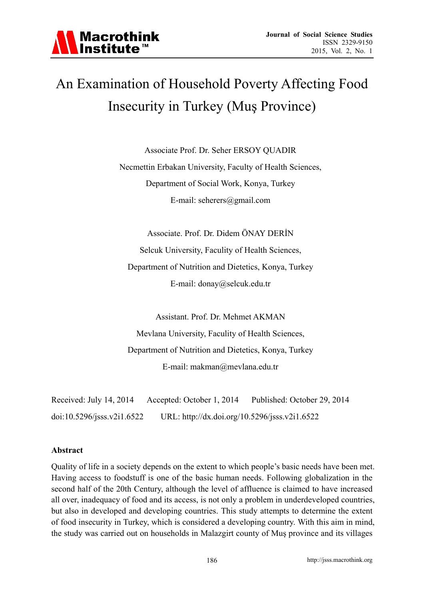

## An Examination of Household Poverty Affecting Food Insecurity in Turkey (Muş Province)

Associate Prof. Dr. Seher ERSOY QUADIR Necmettin Erbakan University, Faculty of Health Sciences, Department of Social Work, Konya, Turkey E-mail: seherers@gmail.com

Associate. Prof. Dr. Didem ÖNAY DERİN Selcuk University, Faculity of Health Sciences, Department of Nutrition and Dietetics, Konya, Turkey E-mail: donay@selcuk.edu.tr

Assistant. Prof. Dr. Mehmet AKMAN Mevlana University, Faculity of Health Sciences, Department of Nutrition and Dietetics, Konya, Turkey E-mail: makman@mevlana.edu.tr

Received: July 14, 2014 Accepted: October 1, 2014 Published: October 29, 2014 doi:10.5296/jsss.v2i1.6522 URL: http://dx.doi.org/10.5296/jsss.v2i1.6522

#### **Abstract**

Quality of life in a society depends on the extent to which people's basic needs have been met. Having access to foodstuff is one of the basic human needs. Following globalization in the second half of the 20th Century, although the level of affluence is claimed to have increased all over, inadequacy of food and its access, is not only a problem in underdeveloped countries, but also in developed and developing countries. This study attempts to determine the extent of food insecurity in Turkey, which is considered a developing country. With this aim in mind, the study was carried out on households in Malazgirt county of Muş province and its villages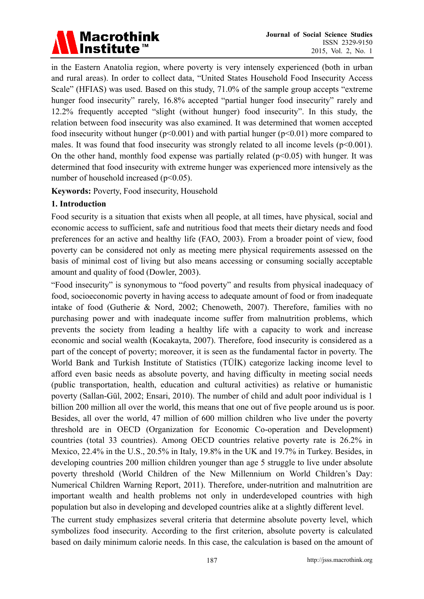# Macrothink<br>Institute™

in the Eastern Anatolia region, where poverty is very intensely experienced (both in urban and rural areas). In order to collect data, "United States Household Food Insecurity Access Scale" (HFIAS) was used. Based on this study, 71.0% of the sample group accepts "extreme hunger food insecurity" rarely, 16.8% accepted "partial hunger food insecurity" rarely and 12.2% frequently accepted "slight (without hunger) food insecurity". In this study, the relation between food insecurity was also examined. It was determined that women accepted food insecurity without hunger ( $p<0.001$ ) and with partial hunger ( $p<0.01$ ) more compared to males. It was found that food insecurity was strongly related to all income levels  $(p<0.001)$ . On the other hand, monthly food expense was partially related ( $p<0.05$ ) with hunger. It was determined that food insecurity with extreme hunger was experienced more intensively as the number of household increased (p<0.05).

**Keywords:** Poverty, Food insecurity, Household

#### **1. Introduction**

Food security is a situation that exists when all people, at all times, have physical, social and economic access to sufficient, safe and nutritious food that meets their dietary needs and food preferences for an active and healthy life (FAO, 2003). From a broader point of view, food poverty can be considered not only as meeting mere physical requirements assessed on the basis of minimal cost of living but also means accessing or consuming socially acceptable amount and quality of food (Dowler, 2003).

"Food insecurity" is synonymous to "food poverty" and results from physical inadequacy of food, socioeconomic poverty in having access to adequate amount of food or from inadequate intake of food (Gutherie & Nord, 2002; Chenoweth, 2007). Therefore, families with no purchasing power and with inadequate income suffer from malnutrition problems, which prevents the society from leading a healthy life with a capacity to work and increase economic and social wealth (Kocakayta, 2007). Therefore, food insecurity is considered as a part of the concept of poverty; moreover, it is seen as the fundamental factor in poverty. The World Bank and Turkish Institute of Statistics (TÜİK) categorize lacking income level to afford even basic needs as absolute poverty, and having difficulty in meeting social needs (public transportation, health, education and cultural activities) as relative or humanistic poverty (Sallan-Gül, 2002; Ensari, 2010). The number of child and adult poor individual is 1 billion 200 million all over the world, this means that one out of five people around us is poor. Besides, all over the world, 47 million of 600 million children who live under the poverty threshold are in OECD (Organization for Economic Co-operation and Development) countries (total 33 countries). Among OECD countries relative poverty rate is 26.2% in Mexico, 22.4% in the U.S., 20.5% in Italy, 19.8% in the UK and 19.7% in Turkey. Besides, in developing countries 200 million children younger than age 5 struggle to live under absolute poverty threshold (World Children of the New Millennium on World Children's Day: Numerical Children Warning Report, 2011). Therefore, under-nutrition and malnutrition are important wealth and health problems not only in underdeveloped countries with high population but also in developing and developed countries alike at a slightly different level.

The current study emphasizes several criteria that determine absolute poverty level, which symbolizes food insecurity. According to the first criterion, absolute poverty is calculated based on daily minimum calorie needs. In this case, the calculation is based on the amount of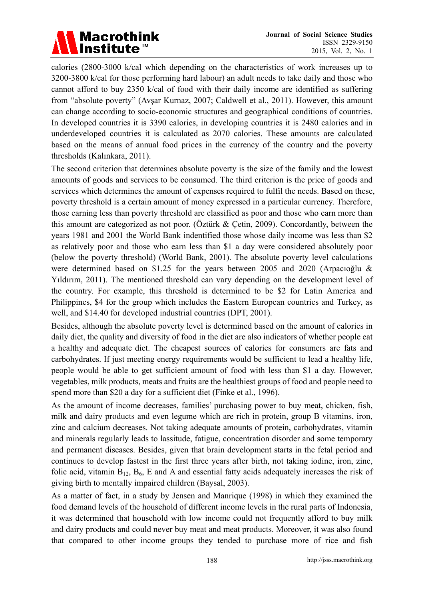

calories (2800-3000 k/cal which depending on the characteristics of work increases up to 3200-3800 k/cal for those performing hard labour) an adult needs to take daily and those who cannot afford to buy 2350 k/cal of food with their daily income are identified as suffering from "absolute poverty" (Avşar Kurnaz, 2007; Caldwell et al., 2011). However, this amount can change according to socio-economic structures and geographical conditions of countries. In developed countries it is 3390 calories, in developing countries it is 2480 calories and in underdeveloped countries it is calculated as 2070 calories. These amounts are calculated based on the means of annual food prices in the currency of the country and the poverty thresholds (Kalınkara, 2011).

The second criterion that determines absolute poverty is the size of the family and the lowest amounts of goods and services to be consumed. The third criterion is the price of goods and services which determines the amount of expenses required to fulfil the needs. Based on these, poverty threshold is a certain amount of money expressed in a particular currency. Therefore, those earning less than poverty threshold are classified as poor and those who earn more than this amount are categorized as not poor. (Öztürk & Çetin, 2009). Concordantly, between the years 1981 and 2001 the World Bank indentified those whose daily income was less than \$2 as relatively poor and those who earn less than \$1 a day were considered absolutely poor (below the poverty threshold) (World Bank, 2001). The absolute poverty level calculations were determined based on \$1.25 for the years between 2005 and 2020 (Arpacıoğlu & Yıldırım, 2011). The mentioned threshold can vary depending on the development level of the country. For example, this threshold is determined to be \$2 for Latin America and Philippines, \$4 for the group which includes the Eastern European countries and Turkey, as well, and \$14.40 for developed industrial countries (DPT, 2001).

Besides, although the absolute poverty level is determined based on the amount of calories in daily diet, the quality and diversity of food in the diet are also indicators of whether people eat a healthy and adequate diet. The cheapest sources of calories for consumers are fats and carbohydrates. If just meeting energy requirements would be sufficient to lead a healthy life, people would be able to get sufficient amount of food with less than \$1 a day. However, vegetables, milk products, meats and fruits are the healthiest groups of food and people need to spend more than \$20 a day for a sufficient diet (Finke et al., 1996).

As the amount of income decreases, families' purchasing power to buy meat, chicken, fish, milk and dairy products and even legume which are rich in protein, group B vitamins, iron, zinc and calcium decreases. Not taking adequate amounts of protein, carbohydrates, vitamin and minerals regularly leads to lassitude, fatigue, concentration disorder and some temporary and permanent diseases. Besides, given that brain development starts in the fetal period and continues to develop fastest in the first three years after birth, not taking iodine, iron, zinc, folic acid, vitamin  $B_{12}$ ,  $B_6$ , E and A and essential fatty acids adequately increases the risk of giving birth to mentally impaired children (Baysal, 2003).

As a matter of fact, in a study by Jensen and Manrique (1998) in which they examined the food demand levels of the household of different income levels in the rural parts of Indonesia, it was determined that household with low income could not frequently afford to buy milk and dairy products and could never buy meat and meat products. Moreover, it was also found that compared to other income groups they tended to purchase more of rice and fish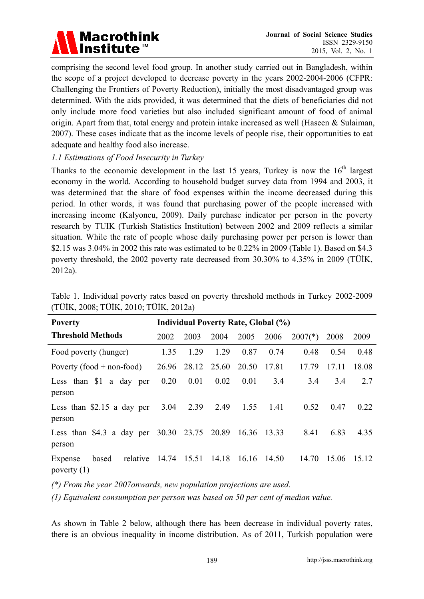

comprising the second level food group. In another study carried out in Bangladesh, within the scope of a project developed to decrease poverty in the years 2002-2004-2006 (CFPR: Challenging the Frontiers of Poverty Reduction), initially the most disadvantaged group was determined. With the aids provided, it was determined that the diets of beneficiaries did not only include more food varieties but also included significant amount of food of animal origin. Apart from that, total energy and protein intake increased as well (Haseen & Sulaiman, 2007). These cases indicate that as the income levels of people rise, their opportunities to eat adequate and healthy food also increase.

#### *1.1 Estimations of Food Insecurity in Turkey*

Thanks to the economic development in the last 15 years, Turkey is now the  $16<sup>th</sup>$  largest economy in the world. According to household budget survey data from 1994 and 2003, it was determined that the share of food expenses within the income decreased during this period. In other words, it was found that purchasing power of the people increased with increasing income (Kalyoncu, 2009). Daily purchase indicator per person in the poverty research by TUIK (Turkish Statistics Institution) between 2002 and 2009 reflects a similar situation. While the rate of people whose daily purchasing power per person is lower than \$2.15 was 3.04% in 2002 this rate was estimated to be 0.22% in 2009 (Table 1). Based on \$4.3 poverty threshold, the 2002 poverty rate decreased from 30.30% to 4.35% in 2009 (TÜİK, 2012a).

| <b>Poverty</b>                                        | <b>Individual Poverty Rate, Global (%)</b> |       |             |       |       |           |       |       |  |
|-------------------------------------------------------|--------------------------------------------|-------|-------------|-------|-------|-----------|-------|-------|--|
| <b>Threshold Methods</b>                              | 2002                                       | 2003  | 2004        | 2005  | 2006  | $2007(*)$ | 2008  | 2009  |  |
| Food poverty (hunger)                                 | 1.35                                       | 1.29  | 1.29        | 0.87  | 0.74  | 0.48      | 0.54  | 0.48  |  |
| Poverty $(food + non-food)$                           | 26.96                                      |       | 28.12 25.60 | 20.50 | 17.81 | 17.79     | 17.11 | 18.08 |  |
| Less than \$1 a day per<br>person                     | 0.20                                       | 0.01  | 0.02        | 0.01  | 3.4   | 3.4       | 3.4   | 2.7   |  |
| Less than $$2.15$ a day per<br>person                 | 3.04                                       | 2.39  | 2.49        | 1.55  | 1.41  | 0.52      | 0.47  | 0.22  |  |
| Less than \$4.3 a day per 30.30 23.75 20.89<br>person |                                            |       |             | 16.36 | 13.33 | 8.41      | 6.83  | 4.35  |  |
| relative<br>based<br>Expense<br>poverty $(1)$         | 14.74                                      | 15.51 | 14.18       | 16.16 | 14.50 | 14.70     | 15.06 | 15.12 |  |

Table 1. Individual poverty rates based on poverty threshold methods in Turkey 2002-2009 (TÜİK, 2008; TÜİK, 2010; TÜİK, 2012a)

*(\*) From the year 2007onwards, new population projections are used.* 

*(1) Equivalent consumption per person was based on 50 per cent of median value.* 

As shown in Table 2 below, although there has been decrease in individual poverty rates, there is an obvious inequality in income distribution. As of 2011, Turkish population were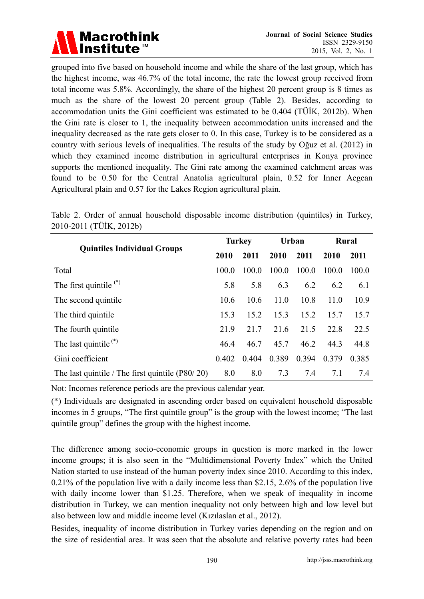

grouped into five based on household income and while the share of the last group, which has the highest income, was 46.7% of the total income, the rate the lowest group received from total income was 5.8%. Accordingly, the share of the highest 20 percent group is 8 times as much as the share of the lowest 20 percent group (Table 2). Besides, according to accommodation units the Gini coefficient was estimated to be 0.404 (TÜİK, 2012b). When the Gini rate is closer to 1, the inequality between accommodation units increased and the inequality decreased as the rate gets closer to 0. In this case, Turkey is to be considered as a country with serious levels of inequalities. The results of the study by Oğuz et al. (2012) in which they examined income distribution in agricultural enterprises in Konya province supports the mentioned inequality. The Gini rate among the examined catchment areas was found to be 0.50 for the Central Anatolia agricultural plain, 0.52 for Inner Aegean Agricultural plain and 0.57 for the Lakes Region agricultural plain.

|                                                   |       | <b>Turkey</b> |       | Urban | <b>Rural</b> |       |
|---------------------------------------------------|-------|---------------|-------|-------|--------------|-------|
| <b>Quintiles Individual Groups</b>                | 2010  | 2011          | 2010  | 2011  | 2010         | 2011  |
| Total                                             | 100.0 | 100.0         | 100.0 | 100.0 | 100.0        | 100.0 |
| The first quintile $(*)$                          | 5.8   | 5.8           | 6.3   | 6.2   | 6.2          | 6.1   |
| The second quintile.                              | 10.6  | 10.6          | 11.0  | 10.8  | 11.0         | 10.9  |
| The third quintile                                | 15.3  | 15.2          | 15.3  | 15.2  | 15.7         | 15.7  |
| The fourth quintile.                              | 21.9  | 21.7          | 21.6  | 21.5  | 22.8         | 22.5  |
| The last quintile $(*)$                           | 46.4  | 46.7          | 45.7  | 46.2  | 44.3         | 44.8  |
| Gini coefficient                                  | 0.402 | 0.404         | 0.389 | 0.394 | 0.379        | 0.385 |
| The last quintile / The first quintile $(180/20)$ | 8.0   | 8.0           | 7.3   | 7.4   | 7.1          | 7.4   |

Table 2. Order of annual household disposable income distribution (quintiles) in Turkey, 2010-2011 (TÜİK, 2012b)

Not: Incomes reference periods are the previous calendar year.

(\*) Individuals are designated in ascending order based on equivalent household disposable incomes in 5 groups, "The first quintile group" is the group with the lowest income; "The last quintile group" defines the group with the highest income.

The difference among socio-economic groups in question is more marked in the lower income groups; it is also seen in the "Multidimensional Poverty Index" which the United Nation started to use instead of the human poverty index since 2010. According to this index, 0.21% of the population live with a daily income less than \$2.15, 2.6% of the population live with daily income lower than \$1.25. Therefore, when we speak of inequality in income distribution in Turkey, we can mention inequality not only between high and low level but also between low and middle income level (Kızılaslan et al., 2012).

Besides, inequality of income distribution in Turkey varies depending on the region and on the size of residential area. It was seen that the absolute and relative poverty rates had been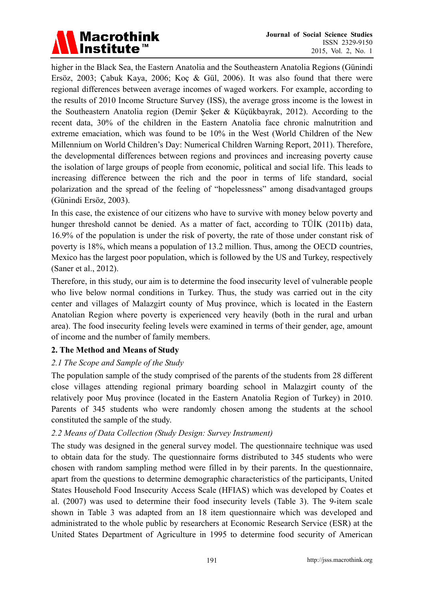

higher in the Black Sea, the Eastern Anatolia and the Southeastern Anatolia Regions (Günindi Ersöz, 2003; Çabuk Kaya, 2006; Koç & Gül, 2006). It was also found that there were regional differences between average incomes of waged workers. For example, according to the results of 2010 Income Structure Survey (ISS), the average gross income is the lowest in the Southeastern Anatolia region (Demir Şeker & Küçükbayrak, 2012). According to the recent data, 30% of the children in the Eastern Anatolia face chronic malnutrition and extreme emaciation, which was found to be 10% in the West (World Children of the New Millennium on World Children's Day: Numerical Children Warning Report, 2011). Therefore, the developmental differences between regions and provinces and increasing poverty cause the isolation of large groups of people from economic, political and social life. This leads to increasing difference between the rich and the poor in terms of life standard, social polarization and the spread of the feeling of "hopelessness" among disadvantaged groups (Günindi Ersöz, 2003).

In this case, the existence of our citizens who have to survive with money below poverty and hunger threshold cannot be denied. As a matter of fact, according to TÜİK (2011b) data, 16.9% of the population is under the risk of poverty, the rate of those under constant risk of poverty is 18%, which means a population of 13.2 million. Thus, among the OECD countries, Mexico has the largest poor population, which is followed by the US and Turkey, respectively (Saner et al., 2012).

Therefore, in this study, our aim is to determine the food insecurity level of vulnerable people who live below normal conditions in Turkey. Thus, the study was carried out in the city center and villages of Malazgirt county of Muş province, which is located in the Eastern Anatolian Region where poverty is experienced very heavily (both in the rural and urban area). The food insecurity feeling levels were examined in terms of their gender, age, amount of income and the number of family members.

#### **2. The Method and Means of Study**

#### *2.1 The Scope and Sample of the Study*

The population sample of the study comprised of the parents of the students from 28 different close villages attending regional primary boarding school in Malazgirt county of the relatively poor Muş province (located in the Eastern Anatolia Region of Turkey) in 2010. Parents of 345 students who were randomly chosen among the students at the school constituted the sample of the study.

#### *2.2 Means of Data Collection (Study Design: Survey Instrument)*

The study was designed in the general survey model. The questionnaire technique was used to obtain data for the study. The questionnaire forms distributed to 345 students who were chosen with random sampling method were filled in by their parents. In the questionnaire, apart from the questions to determine demographic characteristics of the participants, United States Household Food Insecurity Access Scale (HFIAS) which was developed by Coates et al. (2007) was used to determine their food insecurity levels (Table 3). The 9-item scale shown in Table 3 was adapted from an 18 item questionnaire which was developed and administrated to the whole public by researchers at Economic Research Service (ESR) at the United States Department of Agriculture in 1995 to determine food security of American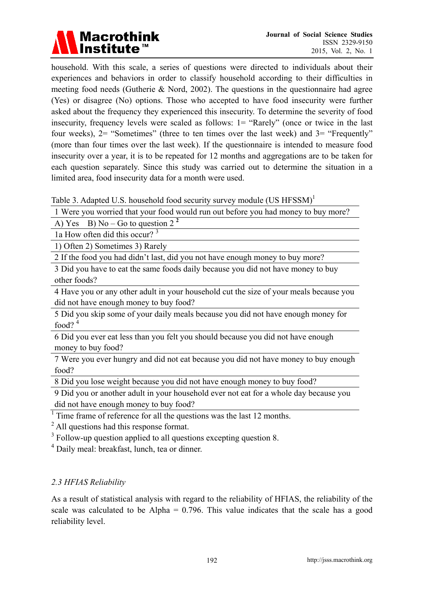

household. With this scale, a series of questions were directed to individuals about their experiences and behaviors in order to classify household according to their difficulties in meeting food needs (Gutherie & Nord, 2002). The questions in the questionnaire had agree (Yes) or disagree (No) options. Those who accepted to have food insecurity were further asked about the frequency they experienced this insecurity. To determine the severity of food insecurity, frequency levels were scaled as follows: 1= "Rarely" (once or twice in the last four weeks), 2= "Sometimes" (three to ten times over the last week) and 3= "Frequently" (more than four times over the last week). If the questionnaire is intended to measure food insecurity over a year, it is to be repeated for 12 months and aggregations are to be taken for each question separately. Since this study was carried out to determine the situation in a limited area, food insecurity data for a month were used.

Table 3. Adapted U.S. household food security survey module (US HFSSM)<sup>1</sup>

1 Were you worried that your food would run out before you had money to buy more?

A) Yes B)  $\text{No} - \text{Go}$  to question 2<sup>2</sup>

1a How often did this occur? <sup>3</sup>

1) Often 2) Sometimes 3) Rarely

2 If the food you had didn't last, did you not have enough money to buy more?

3 Did you have to eat the same foods daily because you did not have money to buy other foods?

4 Have you or any other adult in your household cut the size of your meals because you did not have enough money to buy food?

5 Did you skip some of your daily meals because you did not have enough money for food? $4$ 

6 Did you ever eat less than you felt you should because you did not have enough money to buy food?

7 Were you ever hungry and did not eat because you did not have money to buy enough food?

8 Did you lose weight because you did not have enough money to buy food?

9 Did you or another adult in your household ever not eat for a whole day because you did not have enough money to buy food?

<sup>1</sup> Time frame of reference for all the questions was the last 12 months.

<sup>2</sup> All questions had this response format.

 $3$  Follow-up question applied to all questions excepting question 8.

4 Daily meal: breakfast, lunch, tea or dinner.

#### *2.3 HFIAS Reliability*

As a result of statistical analysis with regard to the reliability of HFIAS, the reliability of the scale was calculated to be Alpha  $= 0.796$ . This value indicates that the scale has a good reliability level.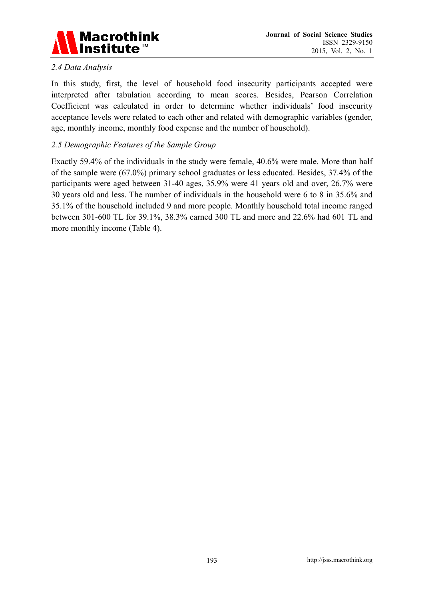

#### *2.4 Data Analysis*

In this study, first, the level of household food insecurity participants accepted were interpreted after tabulation according to mean scores. Besides, Pearson Correlation Coefficient was calculated in order to determine whether individuals' food insecurity acceptance levels were related to each other and related with demographic variables (gender, age, monthly income, monthly food expense and the number of household).

#### *2.5 Demographic Features of the Sample Group*

Exactly 59.4% of the individuals in the study were female, 40.6% were male. More than half of the sample were (67.0%) primary school graduates or less educated. Besides, 37.4% of the participants were aged between 31-40 ages, 35.9% were 41 years old and over, 26.7% were 30 years old and less. The number of individuals in the household were 6 to 8 in 35.6% and 35.1% of the household included 9 and more people. Monthly household total income ranged between 301-600 TL for 39.1%, 38.3% earned 300 TL and more and 22.6% had 601 TL and more monthly income (Table 4).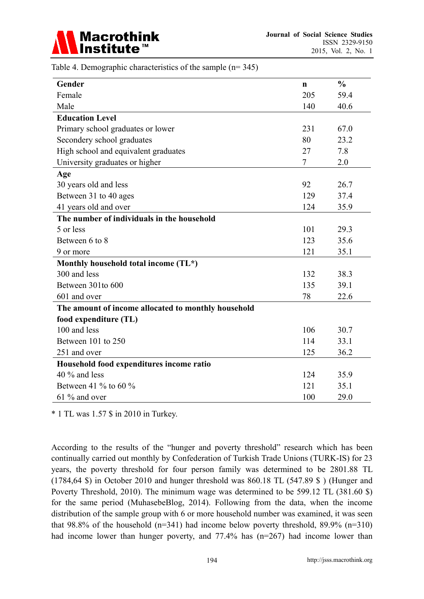

| Table 4. Demographic characteristics of the sample $(n=345)$ |  |  |  |  |  |
|--------------------------------------------------------------|--|--|--|--|--|
|--------------------------------------------------------------|--|--|--|--|--|

| Gender                                              | n   | $\frac{0}{0}$ |
|-----------------------------------------------------|-----|---------------|
| Female                                              | 205 | 59.4          |
| Male                                                | 140 | 40.6          |
| <b>Education Level</b>                              |     |               |
| Primary school graduates or lower                   | 231 | 67.0          |
| Secondery school graduates                          | 80  | 23.2          |
| High school and equivalent graduates                | 27  | 7.8           |
| University graduates or higher                      | 7   | 2.0           |
| Age                                                 |     |               |
| 30 years old and less                               | 92  | 26.7          |
| Between 31 to 40 ages                               | 129 | 37.4          |
| 41 years old and over                               | 124 | 35.9          |
| The number of individuals in the household          |     |               |
| 5 or less                                           | 101 | 29.3          |
| Between 6 to 8                                      | 123 | 35.6          |
| 9 or more                                           | 121 | 35.1          |
| Monthly household total income (TL*)                |     |               |
| 300 and less                                        | 132 | 38.3          |
| Between 301to 600                                   | 135 | 39.1          |
| 601 and over                                        | 78  | 22.6          |
| The amount of income allocated to monthly household |     |               |
| food expenditure (TL)                               |     |               |
| 100 and less                                        | 106 | 30.7          |
| Between 101 to 250                                  | 114 | 33.1          |
| 251 and over                                        | 125 | 36.2          |
| Household food expenditures income ratio            |     |               |
| $40\%$ and less                                     | 124 | 35.9          |
| Between 41 $\%$ to 60 $\%$                          | 121 | 35.1          |
| 61 % and over                                       | 100 | 29.0          |

\* 1 TL was 1.57 \$ in 2010 in Turkey.

According to the results of the "hunger and poverty threshold" research which has been continually carried out monthly by Confederation of Turkish Trade Unions (TURK-IS) for 23 years, the poverty threshold for four person family was determined to be 2801.88 TL (1784,64 \$) in October 2010 and hunger threshold was 860.18 TL (547.89 \$ ) (Hunger and Poverty Threshold, 2010). The minimum wage was determined to be 599.12 TL (381.60 \$) for the same period (MuhasebeBlog, 2014). Following from the data, when the income distribution of the sample group with 6 or more household number was examined, it was seen that 98.8% of the household  $(n=341)$  had income below poverty threshold, 89.9%  $(n=310)$ had income lower than hunger poverty, and 77.4% has (n=267) had income lower than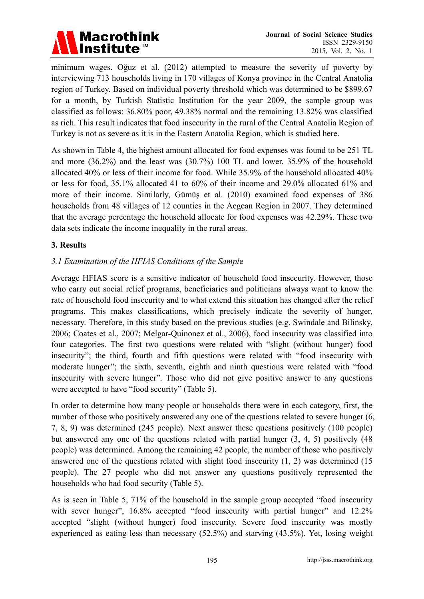

minimum wages. Oğuz et al. (2012) attempted to measure the severity of poverty by interviewing 713 households living in 170 villages of Konya province in the Central Anatolia region of Turkey. Based on individual poverty threshold which was determined to be \$899.67 for a month, by Turkish Statistic Institution for the year 2009, the sample group was classified as follows: 36.80% poor, 49.38% normal and the remaining 13.82% was classified as rich. This result indicates that food insecurity in the rural of the Central Anatolia Region of Turkey is not as severe as it is in the Eastern Anatolia Region, which is studied here.

As shown in Table 4, the highest amount allocated for food expenses was found to be 251 TL and more (36.2%) and the least was (30.7%) 100 TL and lower. 35.9% of the household allocated 40% or less of their income for food. While 35.9% of the household allocated 40% or less for food, 35.1% allocated 41 to 60% of their income and 29.0% allocated 61% and more of their income. Similarly, Gümüş et al. (2010) examined food expenses of 386 households from 48 villages of 12 counties in the Aegean Region in 2007. They determined that the average percentage the household allocate for food expenses was 42.29%. These two data sets indicate the income inequality in the rural areas.

#### **3. Results**

#### *3.1 Examination of the HFIAS Conditions of the Sampl*e

Average HFIAS score is a sensitive indicator of household food insecurity. However, those who carry out social relief programs, beneficiaries and politicians always want to know the rate of household food insecurity and to what extend this situation has changed after the relief programs. This makes classifications, which precisely indicate the severity of hunger, necessary. Therefore, in this study based on the previous studies (e.g. Swindale and Bilinsky, 2006; Coates et al., 2007; Melgar-Quinonez et al., 2006), food insecurity was classified into four categories. The first two questions were related with "slight (without hunger) food insecurity"; the third, fourth and fifth questions were related with "food insecurity with moderate hunger"; the sixth, seventh, eighth and ninth questions were related with "food insecurity with severe hunger". Those who did not give positive answer to any questions were accepted to have "food security" (Table 5).

In order to determine how many people or households there were in each category, first, the number of those who positively answered any one of the questions related to severe hunger (6, 7, 8, 9) was determined (245 people). Next answer these questions positively (100 people) but answered any one of the questions related with partial hunger (3, 4, 5) positively (48 people) was determined. Among the remaining 42 people, the number of those who positively answered one of the questions related with slight food insecurity (1, 2) was determined (15 people). The 27 people who did not answer any questions positively represented the households who had food security (Table 5).

As is seen in Table 5, 71% of the household in the sample group accepted "food insecurity with sever hunger", 16.8% accepted "food insecurity with partial hunger" and 12.2% accepted "slight (without hunger) food insecurity. Severe food insecurity was mostly experienced as eating less than necessary (52.5%) and starving (43.5%). Yet, losing weight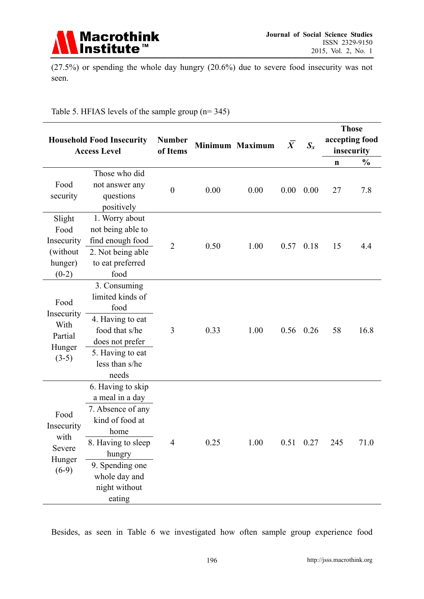

(27.5%) or spending the whole day hungry (20.6%) due to severe food insecurity was not seen.

|  | Table 5. HFIAS levels of the sample group $(n=345)$ |
|--|-----------------------------------------------------|
|--|-----------------------------------------------------|

|                                                                | <b>Number</b><br><b>Household Food Insecurity</b><br>Minimum Maximum<br><b>Access Level</b><br>of Items                                                                             |                  |      | $\overline{X}$ | $S_{x}$ | <b>Those</b><br>accepting food<br>insecurity |             |               |
|----------------------------------------------------------------|-------------------------------------------------------------------------------------------------------------------------------------------------------------------------------------|------------------|------|----------------|---------|----------------------------------------------|-------------|---------------|
|                                                                |                                                                                                                                                                                     |                  |      |                |         |                                              | $\mathbf n$ | $\frac{0}{0}$ |
| Food<br>security                                               | Those who did<br>not answer any<br>questions<br>positively                                                                                                                          | $\boldsymbol{0}$ | 0.00 | 0.00           | 0.00    | 0.00                                         | 27          | 7.8           |
| Slight<br>Food<br>Insecurity<br>(without<br>hunger)<br>$(0-2)$ | 1. Worry about<br>not being able to<br>find enough food<br>2. Not being able<br>to eat preferred<br>food                                                                            | $\overline{2}$   | 0.50 | 1.00           |         | $0.57$ 0.18                                  | 15          | 4.4           |
| Food<br>Insecurity<br>With<br>Partial<br>Hunger<br>$(3-5)$     | 3. Consuming<br>limited kinds of<br>food<br>4. Having to eat<br>food that s/he<br>does not prefer<br>5. Having to eat<br>less than s/he<br>needs                                    | 3                | 0.33 | 1.00           | 0.56    | 0.26                                         | 58          | 16.8          |
| Food<br>Insecurity<br>with<br>Severe<br>Hunger<br>$(6-9)$      | 6. Having to skip<br>a meal in a day<br>7. Absence of any<br>kind of food at<br>home<br>8. Having to sleep<br>hungry<br>9. Spending one<br>whole day and<br>night without<br>eating | 4                | 0.25 | 1.00           |         | $0.51 \quad 0.27$                            | 245         | 71.0          |

Besides, as seen in Table 6 we investigated how often sample group experience food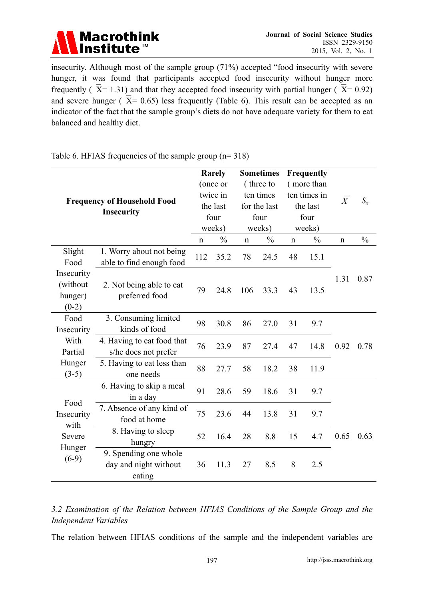

insecurity. Although most of the sample group (71%) accepted "food insecurity with severe hunger, it was found that participants accepted food insecurity without hunger more frequently ( $\overline{X}$ = 1.31) and that they accepted food insecurity with partial hunger ( $\overline{X}$ = 0.92) and severe hunger ( $\overline{X}$ = 0.65) less frequently (Table 6). This result can be accepted as an indicator of the fact that the sample group's diets do not have adequate variety for them to eat balanced and healthy diet.

| <b>Frequency of Household Food</b><br><b>Insecurity</b> |                                                          |                    | Rarely<br>(once or<br>twice in<br>the last<br>four<br>weeks)<br>$\frac{0}{0}$ |                   | <b>Sometimes</b><br>(three to<br>ten times<br>for the last<br>four<br>weeks)<br>$\frac{0}{0}$ |                   | <b>Frequently</b><br>(more than<br>ten times in<br>the last<br>four<br>weeks)<br>$\frac{0}{0}$ | $\overline{X}$ | $S_{x}$<br>$\frac{0}{0}$ |
|---------------------------------------------------------|----------------------------------------------------------|--------------------|-------------------------------------------------------------------------------|-------------------|-----------------------------------------------------------------------------------------------|-------------------|------------------------------------------------------------------------------------------------|----------------|--------------------------|
| Slight<br>Food                                          | 1. Worry about not being<br>able to find enough food     | $\mathbf n$<br>112 | 35.2                                                                          | $\mathbf n$<br>78 | 24.5                                                                                          | $\mathbf n$<br>48 | 15.1                                                                                           | $\mathbf n$    |                          |
| Insecurity<br>(without<br>hunger)<br>$(0-2)$            | 2. Not being able to eat<br>preferred food               | 79                 | 24.8                                                                          | 106               | 33.3                                                                                          | 43                | 13.5                                                                                           | 1.31           | 0.87                     |
| Food<br>Insecurity                                      | 3. Consuming limited<br>kinds of food                    | 98                 | 30.8                                                                          | 86                | 27.0                                                                                          | 31                | 9.7                                                                                            |                |                          |
| With<br>Partial                                         | 4. Having to eat food that<br>s/he does not prefer       | 76                 | 23.9                                                                          | 87                | 27.4                                                                                          | 47                | 14.8                                                                                           | 0.92           | 0.78                     |
| Hunger<br>$(3-5)$                                       | 5. Having to eat less than<br>one needs                  | 88                 | 27.7                                                                          | 58                | 18.2                                                                                          | 38                | 11.9                                                                                           |                |                          |
|                                                         | 6. Having to skip a meal<br>in a day                     | 91                 | 28.6                                                                          | 59                | 18.6                                                                                          | 31                | 9.7                                                                                            |                |                          |
| Food<br>Insecurity                                      | 7. Absence of any kind of<br>food at home                | 75                 | 23.6                                                                          | 44                | 13.8                                                                                          | 31                | 9.7                                                                                            |                |                          |
| with<br>Severe                                          | 8. Having to sleep<br>hungry                             | 52                 | 16.4                                                                          | 28                | 8.8                                                                                           | 15                | 4.7                                                                                            | 0.65           | 0.63                     |
| Hunger<br>$(6-9)$                                       | 9. Spending one whole<br>day and night without<br>eating | 36                 | 11.3                                                                          | 27                | 8.5                                                                                           | 8                 | 2.5                                                                                            |                |                          |

Table 6. HFIAS frequencies of the sample group (n= 318)

*3.2 Examination of the Relation between HFIAS Conditions of the Sample Group and the Independent Variables*

The relation between HFIAS conditions of the sample and the independent variables are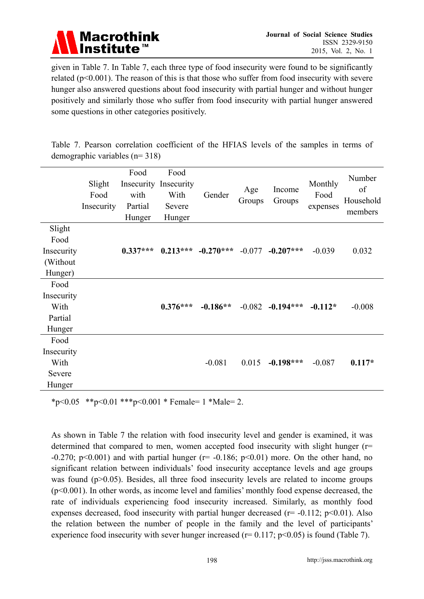

given in Table 7. In Table 7, each three type of food insecurity were found to be significantly related ( $p<0.001$ ). The reason of this is that those who suffer from food insecurity with severe hunger also answered questions about food insecurity with partial hunger and without hunger positively and similarly those who suffer from food insecurity with partial hunger answered some questions in other categories positively.

Table 7. Pearson correlation coefficient of the HFIAS levels of the samples in terms of demographic variables (n= 318)

|                                                     | Slight<br>Food<br>Insecurity | Food<br>with<br>Partial<br>Hunger | Food<br>Insecurity Insecurity<br>With<br>Severe<br>Hunger | Gender      | Age<br>Groups | Income<br>Groups | Monthly<br>Food<br>expenses | Number<br>of<br>Household<br>members |
|-----------------------------------------------------|------------------------------|-----------------------------------|-----------------------------------------------------------|-------------|---------------|------------------|-----------------------------|--------------------------------------|
| Slight<br>Food<br>Insecurity<br>(Without<br>Hunger) |                              | $0.337***$                        | $0.213***$                                                | $-0.270***$ | $-0.077$      | $-0.207***$      | $-0.039$                    | 0.032                                |
| Food<br>Insecurity<br>With<br>Partial<br>Hunger     |                              |                                   | $0.376***$                                                | $-0.186**$  | $-0.082$      | $-0.194***$      | $-0.112*$                   | $-0.008$                             |
| Food<br>Insecurity<br>With<br>Severe<br>Hunger      |                              |                                   |                                                           | $-0.081$    | 0.015         | $-0.198***$      | $-0.087$                    | $0.117*$                             |

\*p<0.05 \*\*p<0.01 \*\*\*p<0.001 \* Female= 1 \*Male= 2.

As shown in Table 7 the relation with food insecurity level and gender is examined, it was determined that compared to men, women accepted food insecurity with slight hunger (r= -0.270; p<0.001) and with partial hunger ( $r=$  -0.186; p<0.01) more. On the other hand, no significant relation between individuals' food insecurity acceptance levels and age groups was found (p>0.05). Besides, all three food insecurity levels are related to income groups (p<0.001). In other words, as income level and families' monthly food expense decreased, the rate of individuals experiencing food insecurity increased. Similarly, as monthly food expenses decreased, food insecurity with partial hunger decreased ( $r = -0.112$ ;  $p < 0.01$ ). Also the relation between the number of people in the family and the level of participants' experience food insecurity with sever hunger increased ( $r = 0.117$ ;  $p < 0.05$ ) is found (Table 7).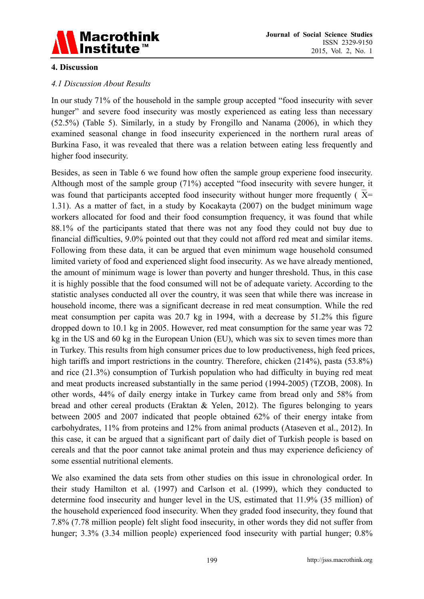

#### **4. Discussion**

#### *4.1 Discussion About Results*

In our study 71% of the household in the sample group accepted "food insecurity with sever hunger" and severe food insecurity was mostly experienced as eating less than necessary (52.5%) (Table 5). Similarly, in a study by Frongillo and Nanama (2006), in which they examined seasonal change in food insecurity experienced in the northern rural areas of Burkina Faso, it was revealed that there was a relation between eating less frequently and higher food insecurity.

Besides, as seen in Table 6 we found how often the sample group experiene food insecurity. Although most of the sample group (71%) accepted "food insecurity with severe hunger, it was found that participants accepted food insecurity without hunger more frequently ( $\overline{X}$ = 1.31). As a matter of fact, in a study by Kocakayta (2007) on the budget minimum wage workers allocated for food and their food consumption frequency, it was found that while 88.1% of the participants stated that there was not any food they could not buy due to financial difficulties, 9.0% pointed out that they could not afford red meat and similar items. Following from these data, it can be argued that even minimum wage household consumed limited variety of food and experienced slight food insecurity. As we have already mentioned, the amount of minimum wage is lower than poverty and hunger threshold. Thus, in this case it is highly possible that the food consumed will not be of adequate variety. According to the statistic analyses conducted all over the country, it was seen that while there was increase in household income, there was a significant decrease in red meat consumption. While the red meat consumption per capita was 20.7 kg in 1994, with a decrease by 51.2% this figure dropped down to 10.1 kg in 2005. However, red meat consumption for the same year was 72 kg in the US and 60 kg in the European Union (EU), which was six to seven times more than in Turkey. This results from high consumer prices due to low productiveness, high feed prices, high tariffs and import restrictions in the country. Therefore, chicken (214%), pasta (53.8%) and rice (21.3%) consumption of Turkish population who had difficulty in buying red meat and meat products increased substantially in the same period (1994-2005) (TZOB, 2008). In other words, 44% of daily energy intake in Turkey came from bread only and 58% from bread and other cereal products (Eraktan & Yelen, 2012). The figures belonging to years between 2005 and 2007 indicated that people obtained 62% of their energy intake from carbohydrates, 11% from proteins and 12% from animal products (Ataseven et al., 2012). In this case, it can be argued that a significant part of daily diet of Turkish people is based on cereals and that the poor cannot take animal protein and thus may experience deficiency of some essential nutritional elements.

We also examined the data sets from other studies on this issue in chronological order. In their study Hamilton et al. (1997) and Carlson et al. (1999), which they conducted to determine food insecurity and hunger level in the US, estimated that 11.9% (35 million) of the household experienced food insecurity. When they graded food insecurity, they found that 7.8% (7.78 million people) felt slight food insecurity, in other words they did not suffer from hunger; 3.3% (3.34 million people) experienced food insecurity with partial hunger; 0.8%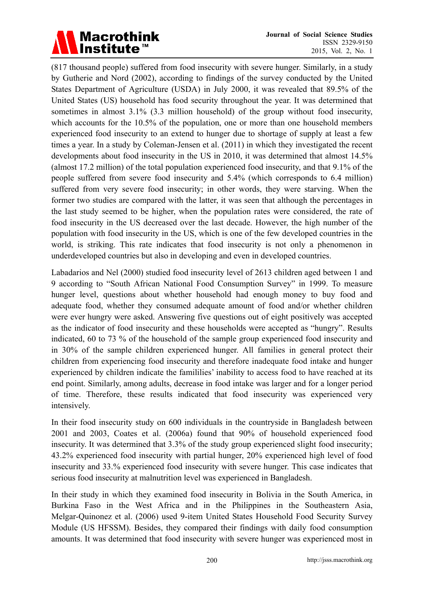

(817 thousand people) suffered from food insecurity with severe hunger. Similarly, in a study by Gutherie and Nord (2002), according to findings of the survey conducted by the United States Department of Agriculture (USDA) in July 2000, it was revealed that 89.5% of the United States (US) household has food security throughout the year. It was determined that sometimes in almost 3.1% (3.3 million household) of the group without food insecurity, which accounts for the 10.5% of the population, one or more than one household members experienced food insecurity to an extend to hunger due to shortage of supply at least a few times a year. In a study by Coleman-Jensen et al. (2011) in which they investigated the recent developments about food insecurity in the US in 2010, it was determined that almost 14.5% (almost 17.2 million) of the total population experienced food insecurity, and that 9.1% of the people suffered from severe food insecurity and 5.4% (which corresponds to 6.4 million) suffered from very severe food insecurity; in other words, they were starving. When the former two studies are compared with the latter, it was seen that although the percentages in the last study seemed to be higher, when the population rates were considered, the rate of food insecurity in the US decreased over the last decade. However, the high number of the population with food insecurity in the US, which is one of the few developed countries in the world, is striking. This rate indicates that food insecurity is not only a phenomenon in underdeveloped countries but also in developing and even in developed countries.

Labadarios and Nel (2000) studied food insecurity level of 2613 children aged between 1 and 9 according to "South African National Food Consumption Survey" in 1999. To measure hunger level, questions about whether household had enough money to buy food and adequate food, whether they consumed adequate amount of food and/or whether children were ever hungry were asked. Answering five questions out of eight positively was accepted as the indicator of food insecurity and these households were accepted as "hungry". Results indicated, 60 to 73 % of the household of the sample group experienced food insecurity and in 30% of the sample children experienced hunger. All families in general protect their children from experiencing food insecurity and therefore inadequate food intake and hunger experienced by children indicate the famililies' inability to access food to have reached at its end point. Similarly, among adults, decrease in food intake was larger and for a longer period of time. Therefore, these results indicated that food insecurity was experienced very intensively.

In their food insecurity study on 600 individuals in the countryside in Bangladesh between 2001 and 2003, Coates et al. (2006a) found that 90% of household experienced food insecurity. It was determined that 3.3% of the study group experienced slight food insecurity; 43.2% experienced food insecurity with partial hunger, 20% experienced high level of food insecurity and 33.% experienced food insecurity with severe hunger. This case indicates that serious food insecurity at malnutrition level was experienced in Bangladesh.

In their study in which they examined food insecurity in Bolivia in the South America, in Burkina Faso in the West Africa and in the Philippines in the Southeastern Asia, Melgar-Quinonez et al. (2006) used 9-item United States Household Food Security Survey Module (US HFSSM). Besides, they compared their findings with daily food consumption amounts. It was determined that food insecurity with severe hunger was experienced most in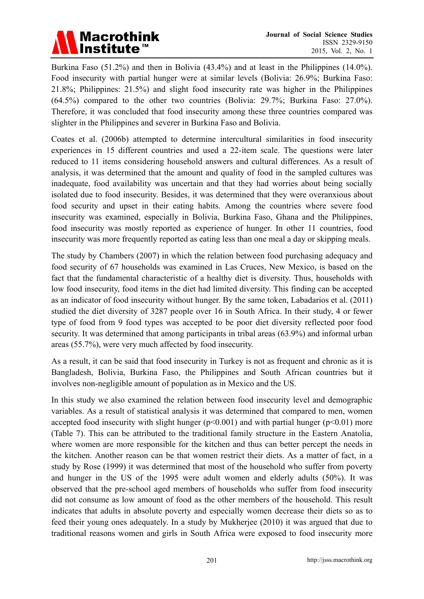

Burkina Faso (51.2%) and then in Bolivia (43.4%) and at least in the Philippines (14.0%). Food insecurity with partial hunger were at similar levels (Bolivia: 26.9%; Burkina Faso: 21.8%; Philippines: 21.5%) and slight food insecurity rate was higher in the Philippines (64.5%) compared to the other two countries (Bolivia: 29.7%; Burkina Faso: 27.0%). Therefore, it was concluded that food insecurity among these three countries compared was slighter in the Philippines and severer in Burkina Faso and Bolivia.

Coates et al. (2006b) attempted to determine intercultural similarities in food insecurity experiences in 15 different countries and used a 22-item scale. The questions were later reduced to 11 items considering household answers and cultural differences. As a result of analysis, it was determined that the amount and quality of food in the sampled cultures was inadequate, food availability was uncertain and that they had worries about being socially isolated due to food insecurity. Besides, it was determined that they were overanxious about food security and upset in their eating habits. Among the countries where severe food insecurity was examined, especially in Bolivia, Burkina Faso, Ghana and the Philippines, food insecurity was mostly reported as experience of hunger. In other 11 countries, food insecurity was more frequently reported as eating less than one meal a day or skipping meals.

The study by Chambers (2007) in which the relation between food purchasing adequacy and food security of 67 households was examined in Las Cruces, New Mexico, is based on the fact that the fundamental characteristic of a healthy diet is diversity. Thus, households with low food insecurity, food items in the diet had limited diversity. This finding can be accepted as an indicator of food insecurity without hunger. By the same token, Labadarios et al. (2011) studied the diet diversity of 3287 people over 16 in South Africa. In their study, 4 or fewer type of food from 9 food types was accepted to be poor diet diversity reflected poor food security. It was determined that among participants in tribal areas (63.9%) and informal urban areas (55.7%), were very much affected by food insecurity.

As a result, it can be said that food insecurity in Turkey is not as frequent and chronic as it is Bangladesh, Bolivia, Burkina Faso, the Philippines and South African countries but it involves non-negligible amount of population as in Mexico and the US.

In this study we also examined the relation between food insecurity level and demographic variables. As a result of statistical analysis it was determined that compared to men, women accepted food insecurity with slight hunger  $(p<0.001)$  and with partial hunger  $(p<0.01)$  more (Table 7). This can be attributed to the traditional family structure in the Eastern Anatolia, where women are more responsible for the kitchen and thus can better percept the needs in the kitchen. Another reason can be that women restrict their diets. As a matter of fact, in a study by Rose (1999) it was determined that most of the household who suffer from poverty and hunger in the US of the 1995 were adult women and elderly adults (50%). It was observed that the pre-school aged members of households who suffer from food insecurity did not consume as low amount of food as the other members of the household. This result indicates that adults in absolute poverty and especially women decrease their diets so as to feed their young ones adequately. In a study by Mukherjee (2010) it was argued that due to traditional reasons women and girls in South Africa were exposed to food insecurity more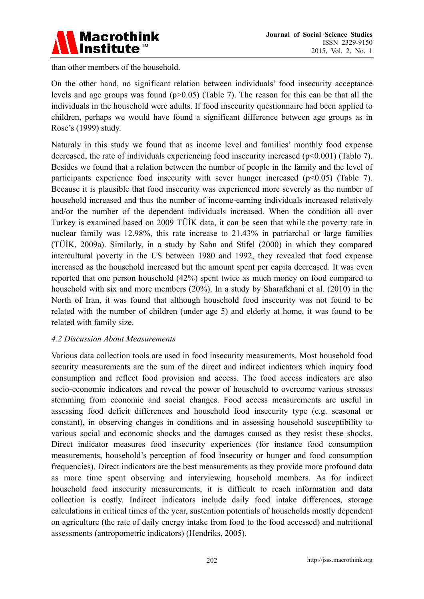

than other members of the household.

On the other hand, no significant relation between individuals' food insecurity acceptance levels and age groups was found  $(p>0.05)$  (Table 7). The reason for this can be that all the individuals in the household were adults. If food insecurity questionnaire had been applied to children, perhaps we would have found a significant difference between age groups as in Rose's (1999) study.

Naturaly in this study we found that as income level and families' monthly food expense decreased, the rate of individuals experiencing food insecurity increased (p<0.001) (Tablo 7). Besides we found that a relation between the number of people in the family and the level of participants experience food insecurity with sever hunger increased (p<0.05) (Table 7). Because it is plausible that food insecurity was experienced more severely as the number of household increased and thus the number of income-earning individuals increased relatively and/or the number of the dependent individuals increased. When the condition all over Turkey is examined based on 2009 TÜİK data, it can be seen that while the poverty rate in nuclear family was 12.98%, this rate increase to 21.43% in patriarchal or large families (TÜİK, 2009a). Similarly, in a study by Sahn and Stifel (2000) in which they compared intercultural poverty in the US between 1980 and 1992, they revealed that food expense increased as the household increased but the amount spent per capita decreased. It was even reported that one person household (42%) spent twice as much money on food compared to household with six and more members (20%). In a study by Sharafkhani et al. (2010) in the North of Iran, it was found that although household food insecurity was not found to be related with the number of children (under age 5) and elderly at home, it was found to be related with family size.

#### *4.2 Discussion About Measurements*

Various data collection tools are used in food insecurity measurements. Most household food security measurements are the sum of the direct and indirect indicators which inquiry food consumption and reflect food provision and access. The food access indicators are also socio-economic indicators and reveal the power of household to overcome various stresses stemming from economic and social changes. Food access measurements are useful in assessing food deficit differences and household food insecurity type (e.g. seasonal or constant), in observing changes in conditions and in assessing household susceptibility to various social and economic shocks and the damages caused as they resist these shocks. Direct indicator measures food insecurity experiences (for instance food consumption measurements, household's perception of food insecurity or hunger and food consumption frequencies). Direct indicators are the best measurements as they provide more profound data as more time spent observing and interviewing household members. As for indirect household food insecurity measurements, it is difficult to reach information and data collection is costly. Indirect indicators include daily food intake differences, storage calculations in critical times of the year, sustention potentials of households mostly dependent on agriculture (the rate of daily energy intake from food to the food accessed) and nutritional assessments (antropometric indicators) (Hendriks, 2005).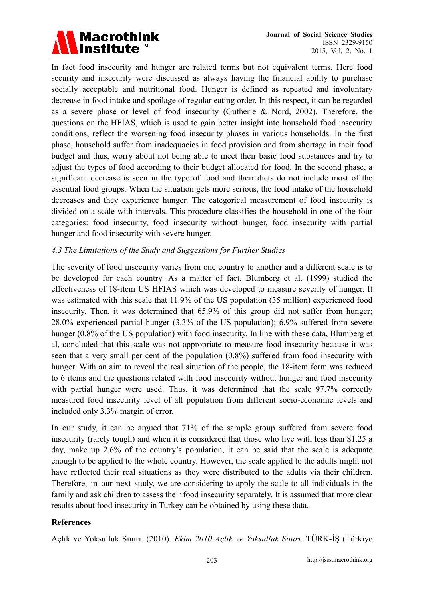

In fact food insecurity and hunger are related terms but not equivalent terms. Here food security and insecurity were discussed as always having the financial ability to purchase socially acceptable and nutritional food. Hunger is defined as repeated and involuntary decrease in food intake and spoilage of regular eating order. In this respect, it can be regarded as a severe phase or level of food insecurity (Gutherie & Nord, 2002). Therefore, the questions on the HFIAS, which is used to gain better insight into household food insecurity conditions, reflect the worsening food insecurity phases in various households. In the first phase, household suffer from inadequacies in food provision and from shortage in their food budget and thus, worry about not being able to meet their basic food substances and try to adjust the types of food according to their budget allocated for food. In the second phase, a significant decrease is seen in the type of food and their diets do not include most of the essential food groups. When the situation gets more serious, the food intake of the household decreases and they experience hunger. The categorical measurement of food insecurity is divided on a scale with intervals. This procedure classifies the household in one of the four categories: food insecurity, food insecurity without hunger, food insecurity with partial hunger and food insecurity with severe hunger.

#### *4.3 The Limitations of the Study and Suggestions for Further Studies*

The severity of food insecurity varies from one country to another and a different scale is to be developed for each country. As a matter of fact, Blumberg et al. (1999) studied the effectiveness of 18-item US HFIAS which was developed to measure severity of hunger. It was estimated with this scale that 11.9% of the US population (35 million) experienced food insecurity. Then, it was determined that 65.9% of this group did not suffer from hunger; 28.0% experienced partial hunger (3.3% of the US population); 6.9% suffered from severe hunger (0.8% of the US population) with food insecurity. In line with these data, Blumberg et al, concluded that this scale was not appropriate to measure food insecurity because it was seen that a very small per cent of the population (0.8%) suffered from food insecurity with hunger. With an aim to reveal the real situation of the people, the 18-item form was reduced to 6 items and the questions related with food insecurity without hunger and food insecurity with partial hunger were used. Thus, it was determined that the scale 97.7% correctly measured food insecurity level of all population from different socio-economic levels and included only 3.3% margin of error.

In our study, it can be argued that 71% of the sample group suffered from severe food insecurity (rarely tough) and when it is considered that those who live with less than \$1.25 a day, make up 2.6% of the country's population, it can be said that the scale is adequate enough to be applied to the whole country. However, the scale applied to the adults might not have reflected their real situations as they were distributed to the adults via their children. Therefore, in our next study, we are considering to apply the scale to all individuals in the family and ask children to assess their food insecurity separately. It is assumed that more clear results about food insecurity in Turkey can be obtained by using these data.

#### **References**

Açlık ve Yoksulluk Sınırı. (2010). *Ekim 2010 Açlık ve Yoksulluk Sınırı*. TÜRK-İŞ (Türkiye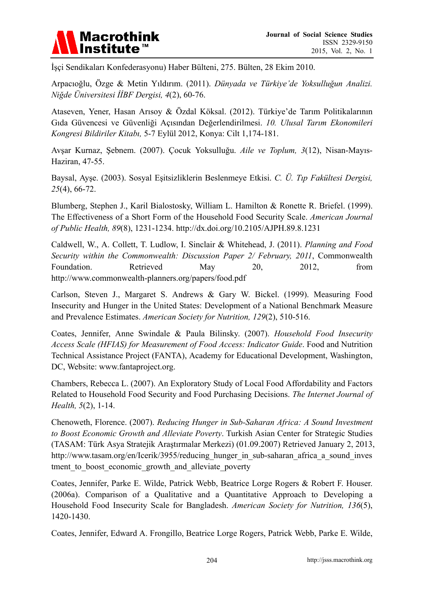

İşçi Sendikaları Konfederasyonu) Haber Bülteni, 275. Bülten, 28 Ekim 2010.

Arpacıoğlu, Özge & Metin Yıldırım. (2011). *Dünyada ve Türkiye'de Yoksulluğun Analizi. Niğde Üniversitesi İİBF Dergisi, 4*(2), 60-76.

Ataseven, Yener, Hasan Arısoy & Özdal Köksal. (2012). Türkiye'de Tarım Politikalarının Gıda Güvencesi ve Güvenliği Açısından Değerlendirilmesi. *10. Ulusal Tarım Ekonomileri Kongresi Bildiriler Kitabı,* 5-7 Eylül 2012, Konya: Cilt 1,174-181.

Avşar Kurnaz, Şebnem. (2007). Çocuk Yoksulluğu. *Aile ve Toplum, 3*(12), Nisan-Mayıs-Haziran, 47-55.

Baysal, Ayşe. (2003). Sosyal Eşitsizliklerin Beslenmeye Etkisi. *C. Ü. Tıp Fakültesi Dergisi, 25*(4), 66-72.

Blumberg, Stephen J., Karil Bialostosky, William L. Hamilton & Ronette R. Briefel. (1999). The Effectiveness of a Short Form of the Household Food Security Scale. *American Journal of Public Health, 89*(8), 1231-1234. http://dx.doi.org/10.2105/AJPH.89.8.1231

Caldwell, W., A. Collett, T. Ludlow, I. Sinclair & Whitehead, J. (2011). *Planning and Food Security within the Commonwealth: Discussion Paper 2/ February, 2011*, Commonwealth Foundation. Retrieved May 20, 2012, from http://www.commonwealth-planners.org/papers/food.pdf

Carlson, Steven J., Margaret S. Andrews & Gary W. Bickel. (1999). Measuring Food Insecurity and Hunger in the United States: Development of a National Benchmark Measure and Prevalence Estimates. *American Society for Nutrition, 129*(2), 510-516.

Coates, Jennifer, Anne Swindale & Paula Bilinsky. (2007). *Household Food Insecurity Access Scale (HFIAS) for Measurement of Food Access: Indicator Guide*. Food and Nutrition Technical Assistance Project (FANTA), Academy for Educational Development, Washington, DC, Website: www.fantaproject.org.

Chambers, Rebecca L. (2007). An Exploratory Study of Local Food Affordability and Factors Related to Household Food Security and Food Purchasing Decisions. *The Internet Journal of Health, 5*(2), 1-14.

Chenoweth, Florence. (2007). *Reducing Hunger in Sub-Saharan Africa: A Sound Investment to Boost Economic Growth and Alleviate Poverty*. Turkish Asian Center for Strategic Studies (TASAM: Türk Asya Stratejik Araştırmalar Merkezi) (01.09.2007) Retrieved January 2, 2013, http://www.tasam.org/en/Icerik/3955/reducing\_hunger\_in\_sub-saharan\_africa\_a\_sound\_inves tment to boost economic growth and alleviate poverty

Coates, Jennifer, Parke E. Wilde, Patrick Webb, Beatrice Lorge Rogers & Robert F. Houser. (2006a). Comparison of a Qualitative and a Quantitative Approach to Developing a Household Food Insecurity Scale for Bangladesh. *American Society for Nutrition, 136*(5), 1420-1430.

Coates, Jennifer, Edward A. Frongillo, Beatrice Lorge Rogers, Patrick Webb, Parke E. Wilde,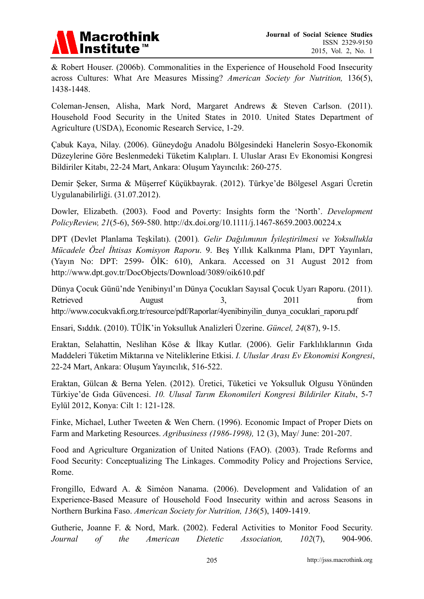

& Robert Houser. (2006b). Commonalities in the Experience of Household Food Insecurity across Cultures: What Are Measures Missing? *American Society for Nutrition,* 136(5), 1438-1448.

Coleman-Jensen, Alisha, Mark Nord, Margaret Andrews & Steven Carlson. (2011). Household Food Security in the United States in 2010. United States Department of Agriculture (USDA), Economic Research Service, 1-29.

Çabuk Kaya, Nilay. (2006). Güneydoğu Anadolu Bölgesindeki Hanelerin Sosyo-Ekonomik Düzeylerine Göre Beslenmedeki Tüketim Kalıpları. I. Uluslar Arası Ev Ekonomisi Kongresi Bildiriler Kitabı, 22-24 Mart, Ankara: Oluşum Yayıncılık: 260-275.

Demir Şeker, Sırma & Müşerref Küçükbayrak. (2012). Türkye'de Bölgesel Asgari Ücretin Uygulanabilirliği. (31.07.2012).

Dowler, Elizabeth. (2003). Food and Poverty: Insights form the 'North'. *Development PolicyReview, 21*(5-6), 569-580. http://dx.doi.org/10.1111/j.1467-8659.2003.00224.x

DPT (Devlet Planlama Teşkilatı). (2001)*. Gelir Dağılımının İyileştirilmesi ve Yoksullukla Mücadele Özel İhtisas Komisyon Raporu*. 9. Beş Yıllık Kalkınma Planı, DPT Yayınları, (Yayın No: DPT: 2599- ÖİK: 610), Ankara. Accessed on 31 August 2012 from http://www.dpt.gov.tr/DocObjects/Download/3089/oik610.pdf

Dünya Çocuk Günü'nde Yenibinyıl'ın Dünya Çocukları Sayısal Çocuk Uyarı Raporu. (2011). Retrieved August 3, 2011 from http://www.cocukvakfi.org.tr/resource/pdf/Raporlar/4yenibinyilin\_dunya\_cocuklari\_raporu.pdf

Ensari, Sıddık. (2010). TÜİK'in Yoksulluk Analizleri Üzerine. *Güncel, 24*(87), 9-15.

Eraktan, Selahattin, Neslihan Köse & İlkay Kutlar. (2006). Gelir Farklılıklarının Gıda Maddeleri Tüketim Miktarına ve Niteliklerine Etkisi. *I. Uluslar Arası Ev Ekonomisi Kongresi*, 22-24 Mart, Ankara: Oluşum Yayıncılık, 516-522.

Eraktan, Gülcan & Berna Yelen. (2012). Üretici, Tüketici ve Yoksulluk Olgusu Yönünden Türkiye'de Gıda Güvencesi. *10. Ulusal Tarım Ekonomileri Kongresi Bildiriler Kitabı*, 5-7 Eylül 2012, Konya: Cilt 1: 121-128.

Finke, Michael, Luther Tweeten & Wen Chern. (1996). Economic Impact of Proper Diets on Farm and Marketing Resources. *Agribusiness (1986-1998),* 12 (3), May/ June: 201-207.

Food and Agriculture Organization of United Nations (FAO). (2003). Trade Reforms and Food Security: Conceptualizing The Linkages. Commodity Policy and Projections Service, Rome.

Frongillo, Edward A. & Siméon Nanama. (2006). Development and Validation of an Experience-Based Measure of Household Food Insecurity within and across Seasons in Northern Burkina Faso. *American Society for Nutrition, 136*(5), 1409-1419.

Gutherie, Joanne F. & Nord, Mark. (2002). Federal Activities to Monitor Food Security. *Journal of the American Dietetic Association, 102*(7), 904-906.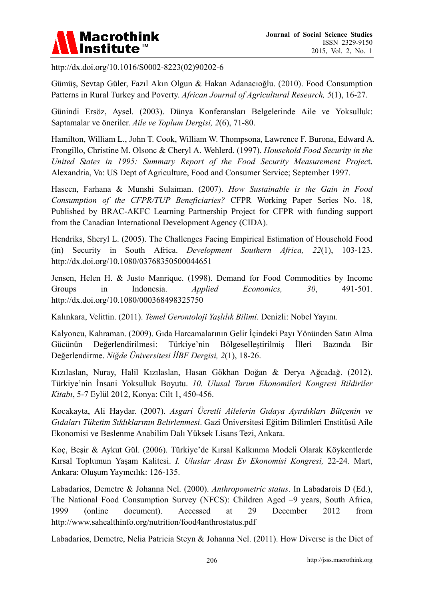

http://dx.doi.org/10.1016/S0002-8223(02)90202-6

Gümüş, Sevtap Güler, Fazıl Akın Olgun & Hakan Adanacıoğlu. (2010). Food Consumption Patterns in Rural Turkey and Poverty. *African Journal of Agricultural Research, 5*(1), 16-27.

Günindi Ersöz, Aysel. (2003). Dünya Konferansları Belgelerinde Aile ve Yoksulluk: Saptamalar ve öneriler. *Aile ve Toplum Dergisi, 2*(6), 71-80.

Hamilton, William L., John T. Cook, William W. Thompsona, Lawrence F. Burona, Edward A. Frongillo, Christine M. Olsonc & Cheryl A. Wehlerd. (1997). *Household Food Security in the United States in 1995: Summary Report of the Food Security Measurement Projec*t. Alexandria, Va: US Dept of Agriculture, Food and Consumer Service; September 1997.

Haseen, Farhana & Munshi Sulaiman. (2007). *How Sustainable is the Gain in Food Consumption of the CFPR/TUP Beneficiaries?* CFPR Working Paper Series No. 18, Published by BRAC-AKFC Learning Partnership Project for CFPR with funding support from the Canadian International Development Agency (CIDA).

Hendriks, Sheryl L. (2005). The Challenges Facing Empirical Estimation of Household Food (in) Security in South Africa. *Development Southern Africa, 22*(1), 103-123. http://dx.doi.org/10.1080/03768350500044651

Jensen, Helen H. & Justo Manrique. (1998). Demand for Food Commodities by Income Groups in Indonesia. *Applied Economics, 30*, 491-501. http://dx.doi.org/10.1080/000368498325750

Kalınkara, Velittin. (2011). *Temel Gerontoloji Yaşlılık Bilimi*. Denizli: Nobel Yayını.

Kalyoncu, Kahraman. (2009). Gıda Harcamalarının Gelir İçindeki Payı Yönünden Satın Alma Gücünün Değerlendirilmesi: Türkiye'nin Bölgeselleştirilmiş İlleri Bazında Bir Değerlendirme. *Niğde Üniversitesi İİBF Dergisi, 2*(1), 18-26.

Kızılaslan, Nuray, Halil Kızılaslan, Hasan Gökhan Doğan & Derya Ağcadağ. (2012). Türkiye'nin İnsani Yoksulluk Boyutu. *10. Ulusal Tarım Ekonomileri Kongresi Bildiriler Kitabı*, 5-7 Eylül 2012, Konya: Cilt 1, 450-456.

Kocakayta, Ali Haydar. (2007). *Asgari Ücretli Ailelerin Gıdaya Ayırdıkları Bütçenin ve Gıdaları Tüketim Sıklıklarının Belirlenmesi*. Gazi Üniversitesi Eğitim Bilimleri Enstitüsü Aile Ekonomisi ve Beslenme Anabilim Dalı Yüksek Lisans Tezi, Ankara.

Koç, Beşir & Aykut Gül. (2006). Türkiye'de Kırsal Kalkınma Modeli Olarak Köykentlerde Kırsal Toplumun Yaşam Kalitesi. *I. Uluslar Arası Ev Ekonomisi Kongresi,* 22-24. Mart, Ankara: Oluşum Yayıncılık: 126-135.

Labadarios, Demetre & Johanna Nel. (2000). *Anthropometric status*. In Labadarois D (Ed.), The National Food Consumption Survey (NFCS): Children Aged –9 years, South Africa, 1999 (online document). Accessed at 29 December 2012 from http://www.sahealthinfo.org/nutrition/food4anthrostatus.pdf

Labadarios, Demetre, Nelia Patricia Steyn & Johanna Nel. (2011). How Diverse is the Diet of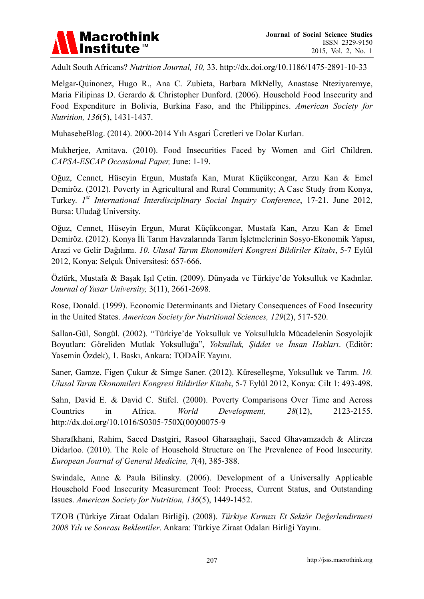

Adult South Africans? *Nutrition Journal, 10,* 33. http://dx.doi.org/10.1186/1475-2891-10-33

Melgar-Quinonez, Hugo R., Ana C. Zubieta, Barbara MkNelly, Anastase Nteziyaremye, Maria Filipinas D. Gerardo & Christopher Dunford. (2006). Household Food Insecurity and Food Expenditure in Bolivia, Burkina Faso, and the Philippines. *American Society for Nutrition, 136*(5), 1431-1437.

MuhasebeBlog. (2014). 2000-2014 Yılı Asgari Ücretleri ve Dolar Kurları.

Mukherjee, Amitava. (2010). Food Insecurities Faced by Women and Girl Children. *CAPSA-ESCAP Occasional Paper,* June: 1-19.

Oğuz, Cennet, Hüseyin Ergun, Mustafa Kan, Murat Küçükcongar, Arzu Kan & Emel Demiröz. (2012). Poverty in Agricultural and Rural Community; A Case Study from Konya, Turkey. *1st International Interdisciplinary Social Inquiry Conference*, 17-21. June 2012, Bursa: Uludağ University.

Oğuz, Cennet, Hüseyin Ergun, Murat Küçükcongar, Mustafa Kan, Arzu Kan & Emel Demiröz. (2012). Konya İli Tarım Havzalarında Tarım İşletmelerinin Sosyo-Ekonomik Yapısı, Arazi ve Gelir Dağılımı. *10. Ulusal Tarım Ekonomileri Kongresi Bildiriler Kitabı*, 5-7 Eylül 2012, Konya: Selçuk Üniversitesi: 657-666.

Öztürk, Mustafa & Başak Işıl Çetin. (2009). Dünyada ve Türkiye'de Yoksulluk ve Kadınlar. *Journal of Yasar University,* 3(11), 2661-2698.

Rose, Donald. (1999). Economic Determinants and Dietary Consequences of Food Insecurity in the United States. *American Society for Nutritional Sciences, 129*(2), 517-520.

Sallan-Gül, Songül. (2002). "Türkiye'de Yoksulluk ve Yoksullukla Mücadelenin Sosyolojik Boyutları: Göreliden Mutlak Yoksulluğa", *Yoksulluk, Şiddet ve İnsan Hakları*. (Editör: Yasemin Özdek), 1. Baskı, Ankara: TODAİE Yayını.

Saner, Gamze, Figen Çukur & Simge Saner. (2012). Küreselleşme, Yoksulluk ve Tarım. *10. Ulusal Tarım Ekonomileri Kongresi Bildiriler Kitabı*, 5-7 Eylül 2012, Konya: Cilt 1: 493-498.

Sahn, David E. & David C. Stifel. (2000). Poverty Comparisons Over Time and Across Countries in Africa. *World Development, 28*(12), 2123-2155. http://dx.doi.org/10.1016/S0305-750X(00)00075-9

Sharafkhani, Rahim, Saeed Dastgiri, Rasool Gharaaghaji, Saeed Ghavamzadeh & Alireza Didarloo. (2010). The Role of Household Structure on The Prevalence of Food Insecurity. *European Journal of General Medicine, 7*(4), 385-388.

Swindale, Anne & Paula Bilinsky. (2006). Development of a Universally Applicable Household Food Insecurity Measurement Tool: Process, Current Status, and Outstanding Issues. *American Society for Nutrition, 136*(5), 1449-1452.

TZOB (Türkiye Ziraat Odaları Birliği). (2008). *Türkiye Kırmızı Et Sektör Değerlendirmesi 2008 Yılı ve Sonrası Beklentiler*. Ankara: Türkiye Ziraat Odaları Birliği Yayını.